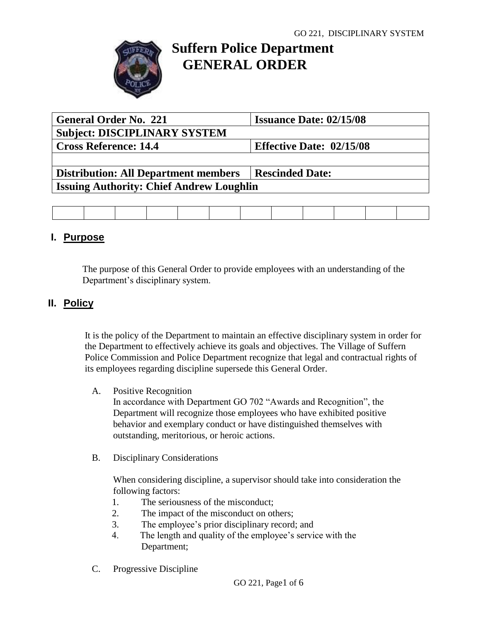

# **Suffern Police Department GENERAL ORDER**

| <b>General Order No. 221</b>                    | <b>Issuance Date: 02/15/08</b>  |
|-------------------------------------------------|---------------------------------|
| <b>Subject: DISCIPLINARY SYSTEM</b>             |                                 |
| <b>Cross Reference: 14.4</b>                    | <b>Effective Date: 02/15/08</b> |
|                                                 |                                 |
| <b>Distribution: All Department members</b>     | <b>Rescinded Date:</b>          |
| <b>Issuing Authority: Chief Andrew Loughlin</b> |                                 |
|                                                 |                                 |

# **I. Purpose**

The purpose of this General Order to provide employees with an understanding of the Department's disciplinary system.

# **II. Policy**

It is the policy of the Department to maintain an effective disciplinary system in order for the Department to effectively achieve its goals and objectives. The Village of Suffern Police Commission and Police Department recognize that legal and contractual rights of its employees regarding discipline supersede this General Order.

A. Positive Recognition

In accordance with Department GO 702 "Awards and Recognition", the Department will recognize those employees who have exhibited positive behavior and exemplary conduct or have distinguished themselves with outstanding, meritorious, or heroic actions.

B. Disciplinary Considerations

When considering discipline, a supervisor should take into consideration the following factors:

- 1. The seriousness of the misconduct;
- 2. The impact of the misconduct on others;
- 3. The employee's prior disciplinary record; and
- 4. The length and quality of the employee's service with the Department;
- C. Progressive Discipline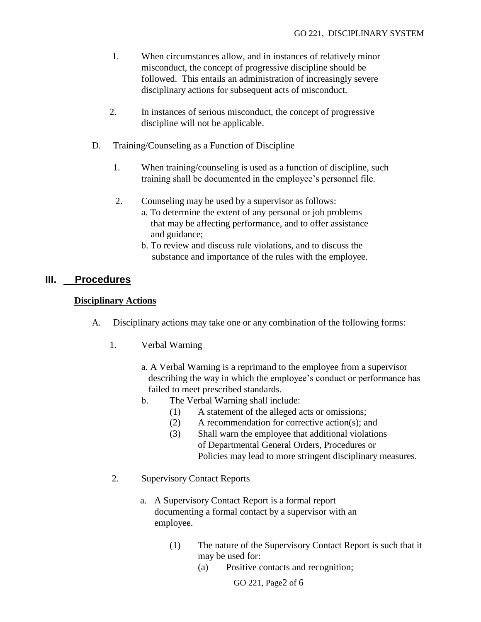- 1. When circumstances allow, and in instances of relatively minor misconduct, the concept of progressive discipline should be followed. This entails an administration of increasingly severe disciplinary actions for subsequent acts of misconduct.
- 2. In instances of serious misconduct, the concept of progressive discipline will not be applicable.
- D. Training/Counseling as a Function of Discipline
	- 1. When training/counseling is used as a function of discipline, such training shall be documented in the employee's personnel file.
	- 2. Counseling may be used by a supervisor as follows:
		- a. To determine the extent of any personal or job problems that may be affecting performance, and to offer assistance and guidance;
			- b. To review and discuss rule violations, and to discuss the substance and importance of the rules with the employee.

### **III. Procedures**

#### **Disciplinary Actions**

- A. Disciplinary actions may take one or any combination of the following forms:
	- 1. Verbal Warning
		- a. A Verbal Warning is a reprimand to the employee from a supervisor describing the way in which the employee's conduct or performance has failed to meet prescribed standards.
		- b. The Verbal Warning shall include:
			- (1) A statement of the alleged acts or omissions;
			- (2) A recommendation for corrective action(s); and
			- (3) Shall warn the employee that additional violations of Departmental General Orders, Procedures or Policies may lead to more stringent disciplinary measures.
	- 2. Supervisory Contact Reports
		- a. A Supervisory Contact Report is a formal report documenting a formal contact by a supervisor with an employee.
			- (1) The nature of the Supervisory Contact Report is such that it may be used for:
				- (a) Positive contacts and recognition;

GO 221, Page2 of 6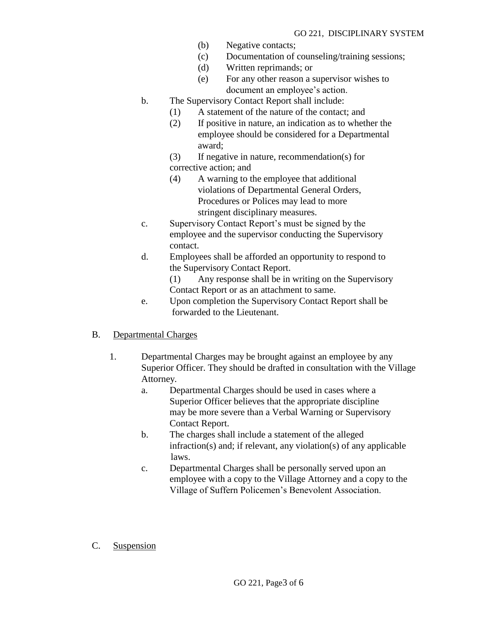- (b) Negative contacts;
- (c) Documentation of counseling/training sessions;
- (d) Written reprimands; or
- (e) For any other reason a supervisor wishes to document an employee's action.
- b. The Supervisory Contact Report shall include:
	- (1) A statement of the nature of the contact; and
	- (2) If positive in nature, an indication as to whether the employee should be considered for a Departmental award;
	- (3) If negative in nature, recommendation(s) for corrective action; and
	- (4) A warning to the employee that additional violations of Departmental General Orders, Procedures or Polices may lead to more stringent disciplinary measures.
- c. Supervisory Contact Report's must be signed by the employee and the supervisor conducting the Supervisory contact.
- d. Employees shall be afforded an opportunity to respond to the Supervisory Contact Report.

(1) Any response shall be in writing on the Supervisory Contact Report or as an attachment to same.

e. Upon completion the Supervisory Contact Report shall be forwarded to the Lieutenant.

#### B. Departmental Charges

- 1. Departmental Charges may be brought against an employee by any Superior Officer. They should be drafted in consultation with the Village Attorney.
	- a. Departmental Charges should be used in cases where a Superior Officer believes that the appropriate discipline may be more severe than a Verbal Warning or Supervisory Contact Report.
	- b. The charges shall include a statement of the alleged infraction(s) and; if relevant, any violation(s) of any applicable laws.
	- c. Departmental Charges shall be personally served upon an employee with a copy to the Village Attorney and a copy to the Village of Suffern Policemen's Benevolent Association.

#### C. Suspension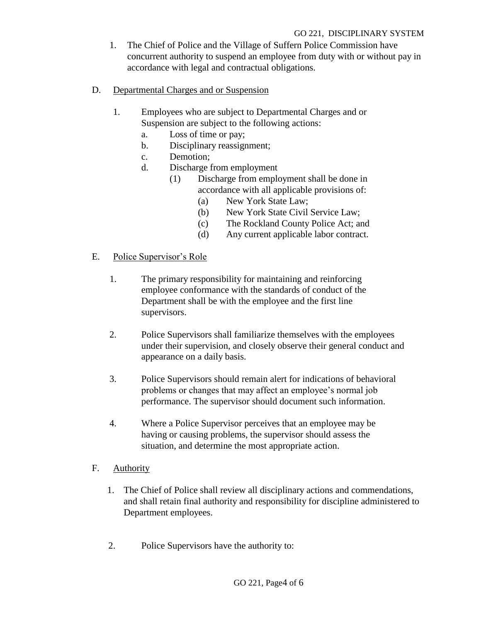- 1. The Chief of Police and the Village of Suffern Police Commission have concurrent authority to suspend an employee from duty with or without pay in accordance with legal and contractual obligations.
- D. Departmental Charges and or Suspension
	- 1. Employees who are subject to Departmental Charges and or Suspension are subject to the following actions:
		- a. Loss of time or pay;
		- b. Disciplinary reassignment;
		- c. Demotion;
		- d. Discharge from employment
			- (1) Discharge from employment shall be done in accordance with all applicable provisions of:
				- (a) New York State Law;
				- (b) New York State Civil Service Law;
				- (c) The Rockland County Police Act; and
				- (d) Any current applicable labor contract.
- E. Police Supervisor's Role
	- 1. The primary responsibility for maintaining and reinforcing employee conformance with the standards of conduct of the Department shall be with the employee and the first line supervisors.
	- 2. Police Supervisors shall familiarize themselves with the employees under their supervision, and closely observe their general conduct and appearance on a daily basis.
	- 3. Police Supervisors should remain alert for indications of behavioral problems or changes that may affect an employee's normal job performance. The supervisor should document such information.
	- 4. Where a Police Supervisor perceives that an employee may be having or causing problems, the supervisor should assess the situation, and determine the most appropriate action.

#### F. Authority

- 1. The Chief of Police shall review all disciplinary actions and commendations, and shall retain final authority and responsibility for discipline administered to Department employees.
- 2. Police Supervisors have the authority to: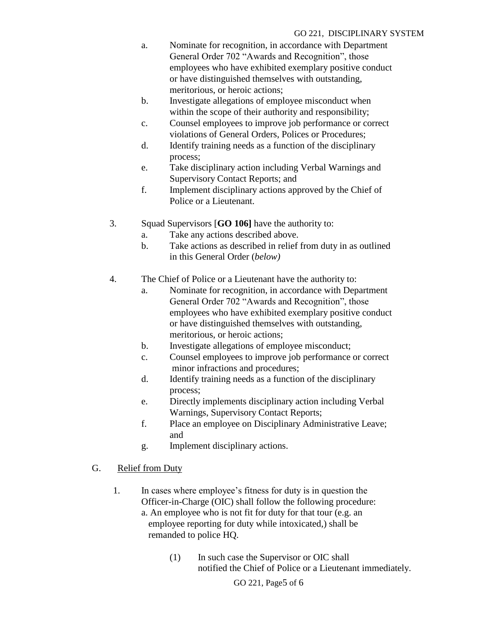- a. Nominate for recognition, in accordance with Department General Order 702 "Awards and Recognition", those employees who have exhibited exemplary positive conduct or have distinguished themselves with outstanding, meritorious, or heroic actions;
- b. Investigate allegations of employee misconduct when within the scope of their authority and responsibility;
- c. Counsel employees to improve job performance or correct violations of General Orders, Polices or Procedures;
- d. Identify training needs as a function of the disciplinary process;
- e. Take disciplinary action including Verbal Warnings and Supervisory Contact Reports; and
- f. Implement disciplinary actions approved by the Chief of Police or a Lieutenant.
- 3. Squad Supervisors [**GO 106]** have the authority to:
	- a. Take any actions described above.
	- b. Take actions as described in relief from duty in as outlined in this General Order (*below)*
- 4. The Chief of Police or a Lieutenant have the authority to:
	- a. Nominate for recognition, in accordance with Department General Order 702 "Awards and Recognition", those employees who have exhibited exemplary positive conduct or have distinguished themselves with outstanding, meritorious, or heroic actions;
	- b. Investigate allegations of employee misconduct;
	- c. Counsel employees to improve job performance or correct minor infractions and procedures;
	- d. Identify training needs as a function of the disciplinary process;
	- e. Directly implements disciplinary action including Verbal Warnings, Supervisory Contact Reports;
	- f. Place an employee on Disciplinary Administrative Leave; and
	- g. Implement disciplinary actions.
- G. Relief from Duty
	- 1. In cases where employee's fitness for duty is in question the Officer-in-Charge (OIC) shall follow the following procedure:
		- a. An employee who is not fit for duty for that tour (e.g. an employee reporting for duty while intoxicated,) shall be remanded to police HQ.
			- (1) In such case the Supervisor or OIC shall notified the Chief of Police or a Lieutenant immediately.

GO 221, Page5 of 6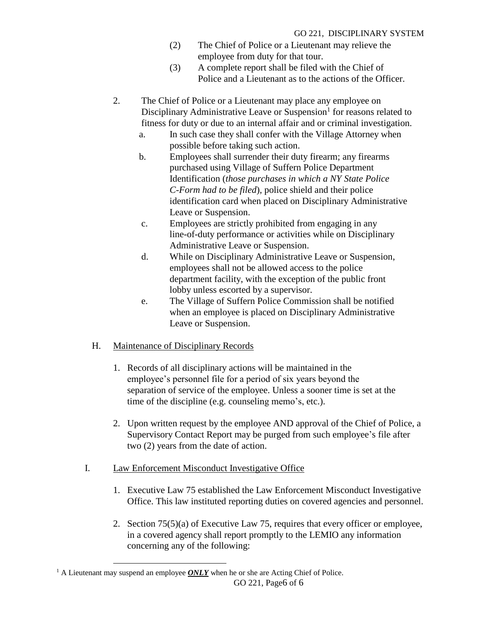- (2) The Chief of Police or a Lieutenant may relieve the employee from duty for that tour.
- (3) A complete report shall be filed with the Chief of Police and a Lieutenant as to the actions of the Officer.
- 2. The Chief of Police or a Lieutenant may place any employee on Disciplinary Administrative Leave or Suspension<sup>1</sup> for reasons related to fitness for duty or due to an internal affair and or criminal investigation.
	- a. In such case they shall confer with the Village Attorney when possible before taking such action.
	- b. Employees shall surrender their duty firearm; any firearms purchased using Village of Suffern Police Department Identification (*those purchases in which a NY State Police C-Form had to be filed*), police shield and their police identification card when placed on Disciplinary Administrative Leave or Suspension.
	- c. Employees are strictly prohibited from engaging in any line-of-duty performance or activities while on Disciplinary Administrative Leave or Suspension.
	- d. While on Disciplinary Administrative Leave or Suspension, employees shall not be allowed access to the police department facility, with the exception of the public front lobby unless escorted by a supervisor.
	- e. The Village of Suffern Police Commission shall be notified when an employee is placed on Disciplinary Administrative Leave or Suspension.

## H. Maintenance of Disciplinary Records

- 1. Records of all disciplinary actions will be maintained in the employee's personnel file for a period of six years beyond the separation of service of the employee. Unless a sooner time is set at the time of the discipline (e.g. counseling memo's, etc.).
- 2. Upon written request by the employee AND approval of the Chief of Police, a Supervisory Contact Report may be purged from such employee's file after two (2) years from the date of action.

## I. Law Enforcement Misconduct Investigative Office

- 1. Executive Law 75 established the Law Enforcement Misconduct Investigative Office. This law instituted reporting duties on covered agencies and personnel.
- 2. Section 75(5)(a) of Executive Law 75, requires that every officer or employee, in a covered agency shall report promptly to the LEMIO any information concerning any of the following:

 $\overline{a}$ 

<sup>&</sup>lt;sup>1</sup> A Lieutenant may suspend an employee *ONLY* when he or she are Acting Chief of Police.